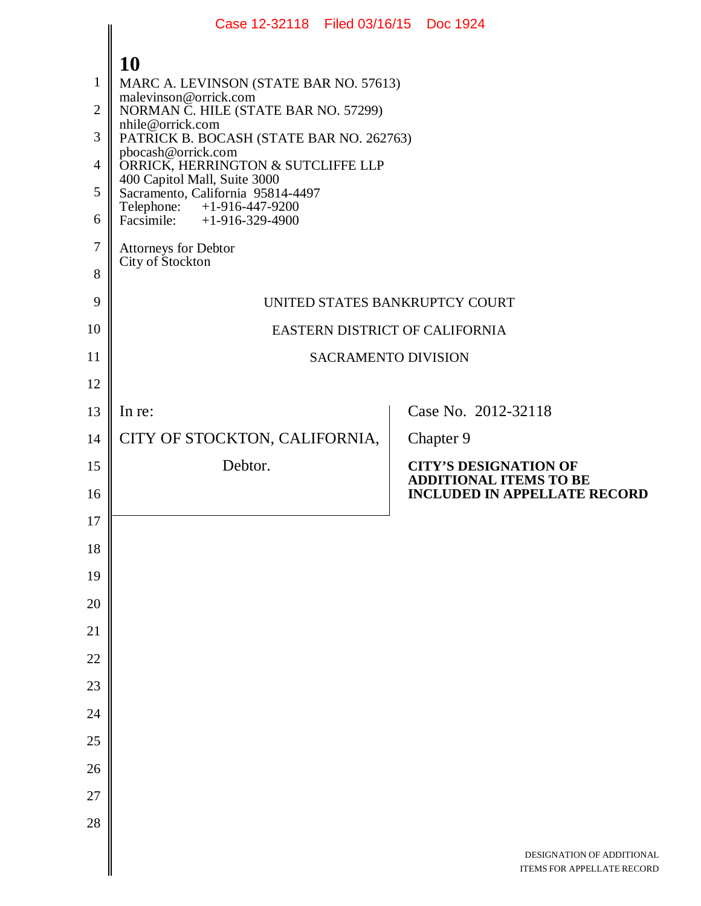|                                              | Case 12-32118 Filed 03/16/15 Doc 1924                                                                                                                                                                                                                                                                                                                                                                     |                                                                                                      |
|----------------------------------------------|-----------------------------------------------------------------------------------------------------------------------------------------------------------------------------------------------------------------------------------------------------------------------------------------------------------------------------------------------------------------------------------------------------------|------------------------------------------------------------------------------------------------------|
| 1<br>$\overline{2}$<br>3<br>4<br>5<br>6<br>7 | 10<br>MARC A. LEVINSON (STATE BAR NO. 57613)<br>malevinson@orrick.com<br>NORMAN C. HILE (STATE BAR NO. 57299)<br>nhile@orrick.com<br>PATRICK B. BOCASH (STATE BAR NO. 262763)<br>pbocash@orrick.com<br>ORRICK, HERRINGTON & SUTCLIFFE LLP<br>400 Capitol Mall, Suite 3000<br>Sacramento, California 95814-4497<br>Telephone: +1-916-447-9200<br>Facsimile: +1-916-329-4900<br><b>Attorneys for Debtor</b> |                                                                                                      |
| 8                                            | City of Stockton                                                                                                                                                                                                                                                                                                                                                                                          |                                                                                                      |
| 9                                            | UNITED STATES BANKRUPTCY COURT                                                                                                                                                                                                                                                                                                                                                                            |                                                                                                      |
| 10                                           | EASTERN DISTRICT OF CALIFORNIA                                                                                                                                                                                                                                                                                                                                                                            |                                                                                                      |
| 11                                           | <b>SACRAMENTO DIVISION</b>                                                                                                                                                                                                                                                                                                                                                                                |                                                                                                      |
| 12                                           |                                                                                                                                                                                                                                                                                                                                                                                                           |                                                                                                      |
| 13                                           | In re:                                                                                                                                                                                                                                                                                                                                                                                                    | Case No. 2012-32118                                                                                  |
| 14                                           | CITY OF STOCKTON, CALIFORNIA,                                                                                                                                                                                                                                                                                                                                                                             | Chapter 9                                                                                            |
| 15<br>16                                     | Debtor.                                                                                                                                                                                                                                                                                                                                                                                                   | <b>CITY'S DESIGNATION OF</b><br><b>ADDITIONAL ITEMS TO BE</b><br><b>INCLUDED IN APPELLATE RECORD</b> |
| 17                                           |                                                                                                                                                                                                                                                                                                                                                                                                           |                                                                                                      |
| 18                                           |                                                                                                                                                                                                                                                                                                                                                                                                           |                                                                                                      |
| 19                                           |                                                                                                                                                                                                                                                                                                                                                                                                           |                                                                                                      |
| 20                                           |                                                                                                                                                                                                                                                                                                                                                                                                           |                                                                                                      |
| 21                                           |                                                                                                                                                                                                                                                                                                                                                                                                           |                                                                                                      |
| 22                                           |                                                                                                                                                                                                                                                                                                                                                                                                           |                                                                                                      |
| 23                                           |                                                                                                                                                                                                                                                                                                                                                                                                           |                                                                                                      |
| 24                                           |                                                                                                                                                                                                                                                                                                                                                                                                           |                                                                                                      |
| 25                                           |                                                                                                                                                                                                                                                                                                                                                                                                           |                                                                                                      |
| 26                                           |                                                                                                                                                                                                                                                                                                                                                                                                           |                                                                                                      |
| 27                                           |                                                                                                                                                                                                                                                                                                                                                                                                           |                                                                                                      |
| 28                                           |                                                                                                                                                                                                                                                                                                                                                                                                           |                                                                                                      |
|                                              |                                                                                                                                                                                                                                                                                                                                                                                                           | DESIGNATION OF ADDITIONAL<br>ITEMS FOR APPELLATE RECORD                                              |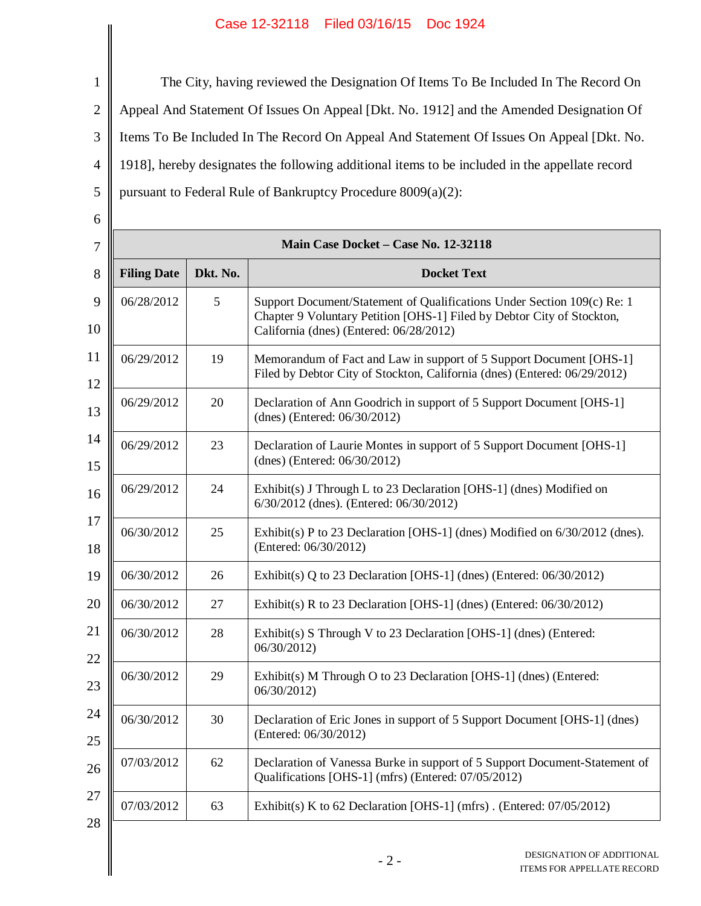1 2 3 4 5 The City, having reviewed the Designation Of Items To Be Included In The Record On Appeal And Statement Of Issues On Appeal [Dkt. No. 1912] and the Amended Designation Of Items To Be Included In The Record On Appeal And Statement Of Issues On Appeal [Dkt. No. 1918], hereby designates the following additional items to be included in the appellate record pursuant to Federal Rule of Bankruptcy Procedure 8009(a)(2):

| Main Case Docket - Case No. 12-32118 |    |                                                                                                                                                                                              |  |  |  |
|--------------------------------------|----|----------------------------------------------------------------------------------------------------------------------------------------------------------------------------------------------|--|--|--|
| <b>Filing Date</b><br>Dkt. No.       |    | <b>Docket Text</b>                                                                                                                                                                           |  |  |  |
| 06/28/2012                           | 5  | Support Document/Statement of Qualifications Under Section 109(c) Re: 1<br>Chapter 9 Voluntary Petition [OHS-1] Filed by Debtor City of Stockton,<br>California (dnes) (Entered: 06/28/2012) |  |  |  |
| 06/29/2012                           | 19 | Memorandum of Fact and Law in support of 5 Support Document [OHS-1]<br>Filed by Debtor City of Stockton, California (dnes) (Entered: 06/29/2012)                                             |  |  |  |
| 06/29/2012                           | 20 | Declaration of Ann Goodrich in support of 5 Support Document [OHS-1]<br>(dnes) (Entered: 06/30/2012)                                                                                         |  |  |  |
| 06/29/2012                           | 23 | Declaration of Laurie Montes in support of 5 Support Document [OHS-1]<br>(dnes) (Entered: 06/30/2012)                                                                                        |  |  |  |
| 06/29/2012                           | 24 | Exhibit(s) J Through L to 23 Declaration [OHS-1] (dnes) Modified on<br>6/30/2012 (dnes). (Entered: 06/30/2012)                                                                               |  |  |  |
| 06/30/2012                           | 25 | Exhibit(s) P to 23 Declaration [OHS-1] (dnes) Modified on 6/30/2012 (dnes).<br>(Entered: 06/30/2012)                                                                                         |  |  |  |
| 06/30/2012                           | 26 | Exhibit(s) Q to 23 Declaration [OHS-1] (dnes) (Entered: $06/30/2012$ )                                                                                                                       |  |  |  |
| 06/30/2012                           | 27 | Exhibit(s) R to 23 Declaration [OHS-1] (dnes) (Entered: $06/30/2012$ )                                                                                                                       |  |  |  |
| 06/30/2012                           | 28 | Exhibit(s) S Through V to 23 Declaration [OHS-1] (dnes) (Entered:<br>06/30/2012)                                                                                                             |  |  |  |
| 06/30/2012                           | 29 | Exhibit(s) M Through O to 23 Declaration [OHS-1] (dnes) (Entered:<br>06/30/2012)                                                                                                             |  |  |  |
| 06/30/2012                           | 30 | Declaration of Eric Jones in support of 5 Support Document [OHS-1] (dnes)<br>(Entered: 06/30/2012)                                                                                           |  |  |  |
| 07/03/2012                           | 62 | Declaration of Vanessa Burke in support of 5 Support Document-Statement of<br>Qualifications [OHS-1] (mfrs) (Entered: 07/05/2012)                                                            |  |  |  |
| 07/03/2012                           | 63 | Exhibit(s) K to 62 Declaration [OHS-1] (mfrs). (Entered: $07/05/2012$ )                                                                                                                      |  |  |  |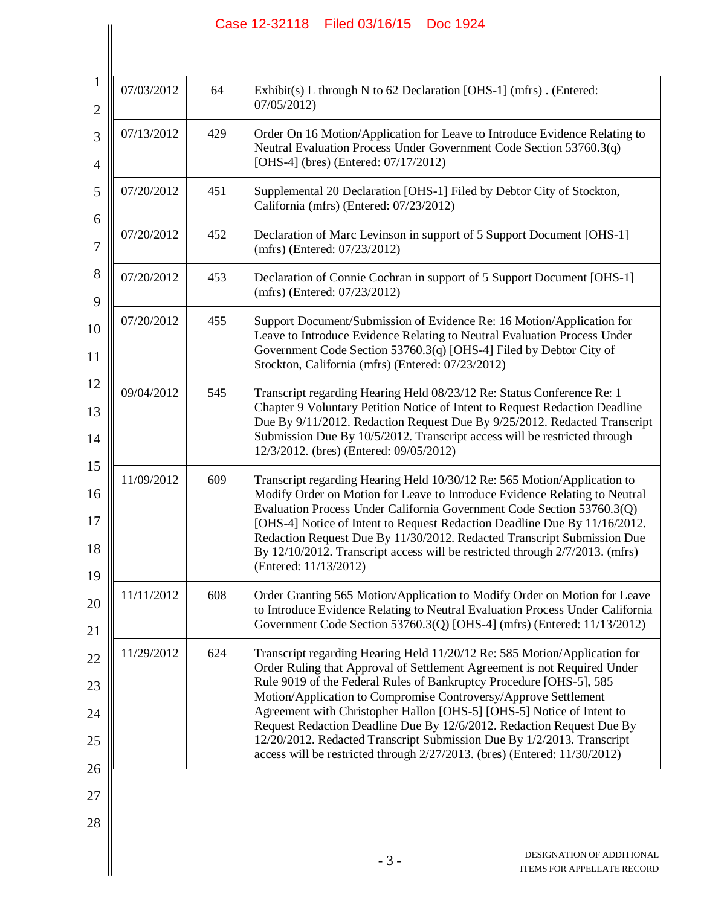$\left| \right|$ 

| 1<br>$\overline{2}$        | 07/03/2012 | 64  | Exhibit(s) L through N to 62 Declaration [OHS-1] (mfrs). (Entered:<br>07/05/2012)                                                                                                                                                                                                                                                                                                                                                                                                                                                                                                                        |
|----------------------------|------------|-----|----------------------------------------------------------------------------------------------------------------------------------------------------------------------------------------------------------------------------------------------------------------------------------------------------------------------------------------------------------------------------------------------------------------------------------------------------------------------------------------------------------------------------------------------------------------------------------------------------------|
| 3<br>4                     | 07/13/2012 | 429 | Order On 16 Motion/Application for Leave to Introduce Evidence Relating to<br>Neutral Evaluation Process Under Government Code Section 53760.3(q)<br>[OHS-4] (bres) (Entered: 07/17/2012)                                                                                                                                                                                                                                                                                                                                                                                                                |
| 5                          | 07/20/2012 | 451 | Supplemental 20 Declaration [OHS-1] Filed by Debtor City of Stockton,<br>California (mfrs) (Entered: 07/23/2012)                                                                                                                                                                                                                                                                                                                                                                                                                                                                                         |
| 6<br>7                     | 07/20/2012 | 452 | Declaration of Marc Levinson in support of 5 Support Document [OHS-1]<br>(mfrs) (Entered: 07/23/2012)                                                                                                                                                                                                                                                                                                                                                                                                                                                                                                    |
| 8<br>9                     | 07/20/2012 | 453 | Declaration of Connie Cochran in support of 5 Support Document [OHS-1]<br>(mfrs) (Entered: 07/23/2012)                                                                                                                                                                                                                                                                                                                                                                                                                                                                                                   |
| 10<br>11                   | 07/20/2012 | 455 | Support Document/Submission of Evidence Re: 16 Motion/Application for<br>Leave to Introduce Evidence Relating to Neutral Evaluation Process Under<br>Government Code Section 53760.3(q) [OHS-4] Filed by Debtor City of<br>Stockton, California (mfrs) (Entered: 07/23/2012)                                                                                                                                                                                                                                                                                                                             |
| 12<br>13<br>14             | 09/04/2012 | 545 | Transcript regarding Hearing Held 08/23/12 Re: Status Conference Re: 1<br>Chapter 9 Voluntary Petition Notice of Intent to Request Redaction Deadline<br>Due By 9/11/2012. Redaction Request Due By 9/25/2012. Redacted Transcript<br>Submission Due By 10/5/2012. Transcript access will be restricted through<br>12/3/2012. (bres) (Entered: 09/05/2012)                                                                                                                                                                                                                                               |
| 15<br>16<br>17<br>18<br>19 | 11/09/2012 | 609 | Transcript regarding Hearing Held 10/30/12 Re: 565 Motion/Application to<br>Modify Order on Motion for Leave to Introduce Evidence Relating to Neutral<br>Evaluation Process Under California Government Code Section 53760.3(Q)<br>[OHS-4] Notice of Intent to Request Redaction Deadline Due By 11/16/2012.<br>Redaction Request Due By 11/30/2012. Redacted Transcript Submission Due<br>By 12/10/2012. Transcript access will be restricted through 2/7/2013. (mfrs)<br>(Entered: 11/13/2012)                                                                                                        |
| 20<br>21                   | 11/11/2012 | 608 | Order Granting 565 Motion/Application to Modify Order on Motion for Leave<br>to Introduce Evidence Relating to Neutral Evaluation Process Under California<br>Government Code Section 53760.3(Q) [OHS-4] (mfrs) (Entered: 11/13/2012)                                                                                                                                                                                                                                                                                                                                                                    |
| 22<br>23<br>24<br>25<br>26 | 11/29/2012 | 624 | Transcript regarding Hearing Held 11/20/12 Re: 585 Motion/Application for<br>Order Ruling that Approval of Settlement Agreement is not Required Under<br>Rule 9019 of the Federal Rules of Bankruptcy Procedure [OHS-5], 585<br>Motion/Application to Compromise Controversy/Approve Settlement<br>Agreement with Christopher Hallon [OHS-5] [OHS-5] Notice of Intent to<br>Request Redaction Deadline Due By 12/6/2012. Redaction Request Due By<br>12/20/2012. Redacted Transcript Submission Due By 1/2/2013. Transcript<br>access will be restricted through 2/27/2013. (bres) (Entered: 11/30/2012) |
| 27<br>28                   |            |     | DESIGNATION OF ADDITIONAL                                                                                                                                                                                                                                                                                                                                                                                                                                                                                                                                                                                |
|                            |            |     | $-3-$<br>ITEMS FOR APPELLATE RECORD                                                                                                                                                                                                                                                                                                                                                                                                                                                                                                                                                                      |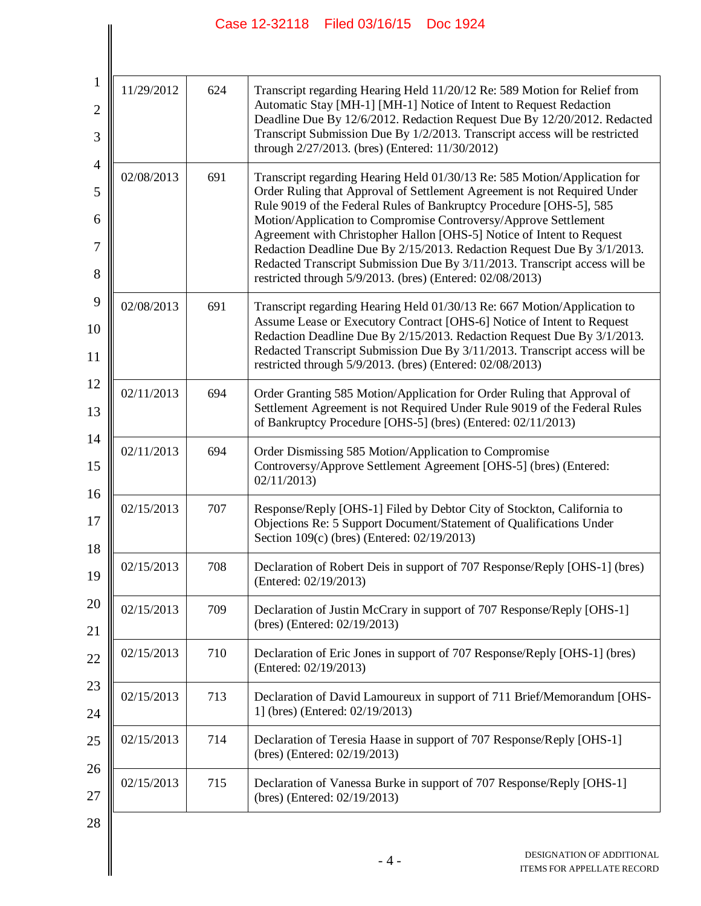| $\mathbf{1}$<br>11/29/2012<br>624<br>$\overline{c}$<br>3<br>$\overline{4}$ |            |     | Transcript regarding Hearing Held 11/20/12 Re: 589 Motion for Relief from<br>Automatic Stay [MH-1] [MH-1] Notice of Intent to Request Redaction<br>Deadline Due By 12/6/2012. Redaction Request Due By 12/20/2012. Redacted<br>Transcript Submission Due By 1/2/2013. Transcript access will be restricted<br>through 2/27/2013. (bres) (Entered: 11/30/2012)                                                                                                                                                                                                                                  |
|----------------------------------------------------------------------------|------------|-----|------------------------------------------------------------------------------------------------------------------------------------------------------------------------------------------------------------------------------------------------------------------------------------------------------------------------------------------------------------------------------------------------------------------------------------------------------------------------------------------------------------------------------------------------------------------------------------------------|
| 5<br>6<br>7<br>8                                                           | 02/08/2013 | 691 | Transcript regarding Hearing Held 01/30/13 Re: 585 Motion/Application for<br>Order Ruling that Approval of Settlement Agreement is not Required Under<br>Rule 9019 of the Federal Rules of Bankruptcy Procedure [OHS-5], 585<br>Motion/Application to Compromise Controversy/Approve Settlement<br>Agreement with Christopher Hallon [OHS-5] Notice of Intent to Request<br>Redaction Deadline Due By 2/15/2013. Redaction Request Due By 3/1/2013.<br>Redacted Transcript Submission Due By 3/11/2013. Transcript access will be<br>restricted through 5/9/2013. (bres) (Entered: 02/08/2013) |
| 9<br>10                                                                    | 02/08/2013 | 691 | Transcript regarding Hearing Held 01/30/13 Re: 667 Motion/Application to<br>Assume Lease or Executory Contract [OHS-6] Notice of Intent to Request<br>Redaction Deadline Due By 2/15/2013. Redaction Request Due By 3/1/2013.<br>Redacted Transcript Submission Due By 3/11/2013. Transcript access will be<br>restricted through 5/9/2013. (bres) (Entered: 02/08/2013)                                                                                                                                                                                                                       |
| 12<br>13                                                                   | 02/11/2013 | 694 | Order Granting 585 Motion/Application for Order Ruling that Approval of<br>Settlement Agreement is not Required Under Rule 9019 of the Federal Rules<br>of Bankruptcy Procedure [OHS-5] (bres) (Entered: 02/11/2013)                                                                                                                                                                                                                                                                                                                                                                           |
| 14<br>15                                                                   | 02/11/2013 | 694 | Order Dismissing 585 Motion/Application to Compromise<br>Controversy/Approve Settlement Agreement [OHS-5] (bres) (Entered:<br>02/11/2013                                                                                                                                                                                                                                                                                                                                                                                                                                                       |
| 16<br>17<br>18                                                             | 02/15/2013 | 707 | Response/Reply [OHS-1] Filed by Debtor City of Stockton, California to<br>Objections Re: 5 Support Document/Statement of Qualifications Under<br>Section 109(c) (bres) (Entered: 02/19/2013)                                                                                                                                                                                                                                                                                                                                                                                                   |
| 19                                                                         | 02/15/2013 | 708 | Declaration of Robert Deis in support of 707 Response/Reply [OHS-1] (bres)<br>(Entered: 02/19/2013)                                                                                                                                                                                                                                                                                                                                                                                                                                                                                            |
| 20<br>21                                                                   | 02/15/2013 | 709 | Declaration of Justin McCrary in support of 707 Response/Reply [OHS-1]<br>(bres) (Entered: 02/19/2013)                                                                                                                                                                                                                                                                                                                                                                                                                                                                                         |
| 22                                                                         | 02/15/2013 | 710 | Declaration of Eric Jones in support of 707 Response/Reply [OHS-1] (bres)<br>(Entered: 02/19/2013)                                                                                                                                                                                                                                                                                                                                                                                                                                                                                             |
| 23<br>24                                                                   | 02/15/2013 | 713 | Declaration of David Lamoureux in support of 711 Brief/Memorandum [OHS-<br>1] (bres) (Entered: 02/19/2013)                                                                                                                                                                                                                                                                                                                                                                                                                                                                                     |
| 25                                                                         | 02/15/2013 | 714 | Declaration of Teresia Haase in support of 707 Response/Reply [OHS-1]<br>(bres) (Entered: 02/19/2013)                                                                                                                                                                                                                                                                                                                                                                                                                                                                                          |
| 26<br>27                                                                   | 02/15/2013 | 715 | Declaration of Vanessa Burke in support of 707 Response/Reply [OHS-1]<br>(bres) (Entered: 02/19/2013)                                                                                                                                                                                                                                                                                                                                                                                                                                                                                          |
| 28                                                                         |            |     |                                                                                                                                                                                                                                                                                                                                                                                                                                                                                                                                                                                                |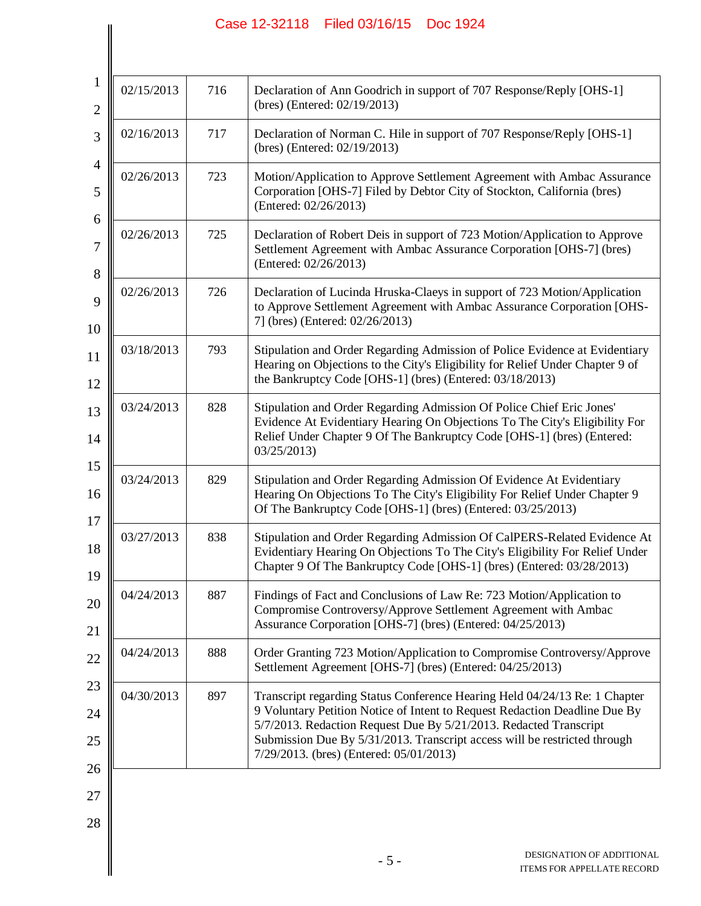$\left| \right|$ 

| 1<br>$\overline{2}$ | 02/15/2013 | 716 | Declaration of Ann Goodrich in support of 707 Response/Reply [OHS-1]<br>(bres) (Entered: 02/19/2013)                                                                                                                                                                                                                                                  |
|---------------------|------------|-----|-------------------------------------------------------------------------------------------------------------------------------------------------------------------------------------------------------------------------------------------------------------------------------------------------------------------------------------------------------|
| 3                   | 02/16/2013 | 717 | Declaration of Norman C. Hile in support of 707 Response/Reply [OHS-1]<br>(bres) (Entered: 02/19/2013)                                                                                                                                                                                                                                                |
| 4<br>5              | 02/26/2013 | 723 | Motion/Application to Approve Settlement Agreement with Ambac Assurance<br>Corporation [OHS-7] Filed by Debtor City of Stockton, California (bres)<br>(Entered: 02/26/2013)                                                                                                                                                                           |
| 6<br>7              | 02/26/2013 | 725 | Declaration of Robert Deis in support of 723 Motion/Application to Approve<br>Settlement Agreement with Ambac Assurance Corporation [OHS-7] (bres)<br>(Entered: 02/26/2013)                                                                                                                                                                           |
| $8\,$<br>9<br>10    | 02/26/2013 | 726 | Declaration of Lucinda Hruska-Claeys in support of 723 Motion/Application<br>to Approve Settlement Agreement with Ambac Assurance Corporation [OHS-<br>7] (bres) (Entered: 02/26/2013)                                                                                                                                                                |
| 11<br>12            | 03/18/2013 | 793 | Stipulation and Order Regarding Admission of Police Evidence at Evidentiary<br>Hearing on Objections to the City's Eligibility for Relief Under Chapter 9 of<br>the Bankruptcy Code [OHS-1] (bres) (Entered: 03/18/2013)                                                                                                                              |
| 13<br>14            | 03/24/2013 | 828 | Stipulation and Order Regarding Admission Of Police Chief Eric Jones'<br>Evidence At Evidentiary Hearing On Objections To The City's Eligibility For<br>Relief Under Chapter 9 Of The Bankruptcy Code [OHS-1] (bres) (Entered:<br>03/25/2013                                                                                                          |
| 15<br>16            | 03/24/2013 | 829 | Stipulation and Order Regarding Admission Of Evidence At Evidentiary<br>Hearing On Objections To The City's Eligibility For Relief Under Chapter 9<br>Of The Bankruptcy Code [OHS-1] (bres) (Entered: 03/25/2013)                                                                                                                                     |
| 17<br>18<br>19      | 03/27/2013 | 838 | Stipulation and Order Regarding Admission Of CalPERS-Related Evidence At<br>Evidentiary Hearing On Objections To The City's Eligibility For Relief Under<br>Chapter 9 Of The Bankruptcy Code [OHS-1] (bres) (Entered: 03/28/2013)                                                                                                                     |
| 20<br>21            | 04/24/2013 | 887 | Findings of Fact and Conclusions of Law Re: 723 Motion/Application to<br>Compromise Controversy/Approve Settlement Agreement with Ambac<br>Assurance Corporation [OHS-7] (bres) (Entered: 04/25/2013)                                                                                                                                                 |
| 22                  | 04/24/2013 | 888 | Order Granting 723 Motion/Application to Compromise Controversy/Approve<br>Settlement Agreement [OHS-7] (bres) (Entered: 04/25/2013)                                                                                                                                                                                                                  |
| 23<br>24<br>25      | 04/30/2013 | 897 | Transcript regarding Status Conference Hearing Held 04/24/13 Re: 1 Chapter<br>9 Voluntary Petition Notice of Intent to Request Redaction Deadline Due By<br>5/7/2013. Redaction Request Due By 5/21/2013. Redacted Transcript<br>Submission Due By 5/31/2013. Transcript access will be restricted through<br>7/29/2013. (bres) (Entered: 05/01/2013) |
| 26<br>27<br>28      |            |     |                                                                                                                                                                                                                                                                                                                                                       |
|                     |            |     | DESIGNATION OF ADDITIONAL<br>$-5-$<br>ITEMS FOR APPELLATE RECORD                                                                                                                                                                                                                                                                                      |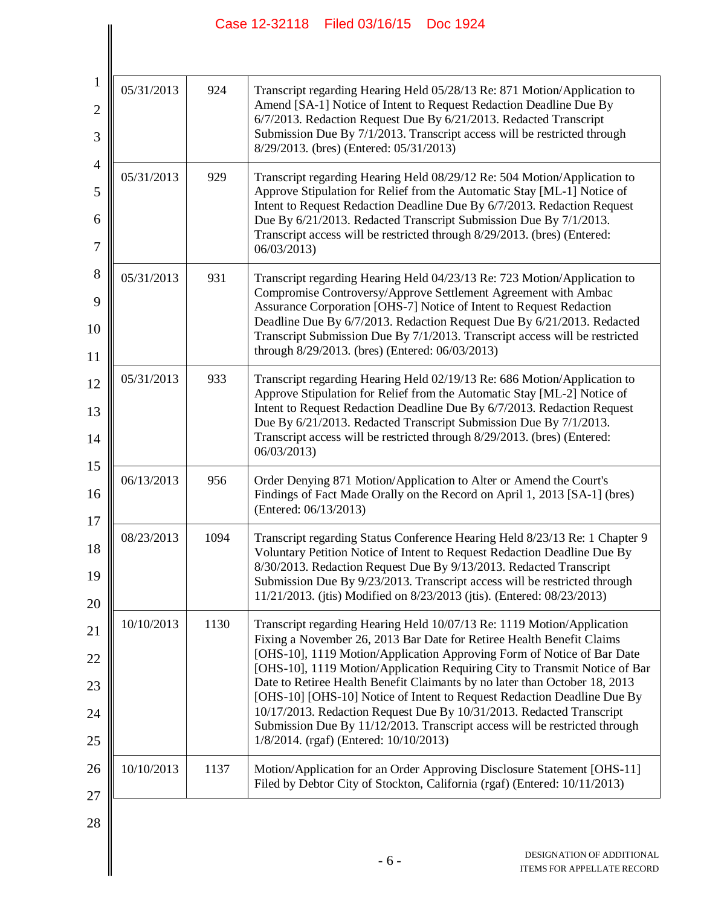$\left| \right|$ 

| $\mathbf{1}$<br>$\overline{c}$<br>3 | 05/31/2013 | 924  | Transcript regarding Hearing Held 05/28/13 Re: 871 Motion/Application to<br>Amend [SA-1] Notice of Intent to Request Redaction Deadline Due By<br>6/7/2013. Redaction Request Due By 6/21/2013. Redacted Transcript<br>Submission Due By 7/1/2013. Transcript access will be restricted through<br>8/29/2013. (bres) (Entered: 05/31/2013) |
|-------------------------------------|------------|------|--------------------------------------------------------------------------------------------------------------------------------------------------------------------------------------------------------------------------------------------------------------------------------------------------------------------------------------------|
| $\overline{4}$<br>5                 | 05/31/2013 | 929  | Transcript regarding Hearing Held 08/29/12 Re: 504 Motion/Application to<br>Approve Stipulation for Relief from the Automatic Stay [ML-1] Notice of<br>Intent to Request Redaction Deadline Due By 6/7/2013. Redaction Request                                                                                                             |
| 6<br>7                              |            |      | Due By 6/21/2013. Redacted Transcript Submission Due By 7/1/2013.<br>Transcript access will be restricted through 8/29/2013. (bres) (Entered:<br>06/03/2013                                                                                                                                                                                |
| $8\,$<br>9                          | 05/31/2013 | 931  | Transcript regarding Hearing Held 04/23/13 Re: 723 Motion/Application to<br>Compromise Controversy/Approve Settlement Agreement with Ambac                                                                                                                                                                                                 |
| 10                                  |            |      | Assurance Corporation [OHS-7] Notice of Intent to Request Redaction<br>Deadline Due By 6/7/2013. Redaction Request Due By 6/21/2013. Redacted<br>Transcript Submission Due By 7/1/2013. Transcript access will be restricted<br>through 8/29/2013. (bres) (Entered: 06/03/2013)                                                            |
| 11<br>12                            | 05/31/2013 | 933  | Transcript regarding Hearing Held 02/19/13 Re: 686 Motion/Application to                                                                                                                                                                                                                                                                   |
| 13                                  |            |      | Approve Stipulation for Relief from the Automatic Stay [ML-2] Notice of<br>Intent to Request Redaction Deadline Due By 6/7/2013. Redaction Request                                                                                                                                                                                         |
| 14                                  |            |      | Due By 6/21/2013. Redacted Transcript Submission Due By 7/1/2013.<br>Transcript access will be restricted through 8/29/2013. (bres) (Entered:<br>06/03/2013                                                                                                                                                                                |
| 15<br>16                            | 06/13/2013 | 956  | Order Denying 871 Motion/Application to Alter or Amend the Court's<br>Findings of Fact Made Orally on the Record on April 1, 2013 [SA-1] (bres)<br>(Entered: 06/13/2013)                                                                                                                                                                   |
| 17<br>18                            | 08/23/2013 | 1094 | Transcript regarding Status Conference Hearing Held 8/23/13 Re: 1 Chapter 9<br>Voluntary Petition Notice of Intent to Request Redaction Deadline Due By                                                                                                                                                                                    |
| 19<br>20                            |            |      | 8/30/2013. Redaction Request Due By 9/13/2013. Redacted Transcript<br>Submission Due By 9/23/2013. Transcript access will be restricted through<br>11/21/2013. (jtis) Modified on 8/23/2013 (jtis). (Entered: 08/23/2013)                                                                                                                  |
| 21                                  | 10/10/2013 | 1130 | Transcript regarding Hearing Held 10/07/13 Re: 1119 Motion/Application<br>Fixing a November 26, 2013 Bar Date for Retiree Health Benefit Claims                                                                                                                                                                                            |
| 22                                  |            |      | [OHS-10], 1119 Motion/Application Approving Form of Notice of Bar Date<br>[OHS-10], 1119 Motion/Application Requiring City to Transmit Notice of Bar                                                                                                                                                                                       |
| 23                                  |            |      | Date to Retiree Health Benefit Claimants by no later than October 18, 2013<br>[OHS-10] [OHS-10] Notice of Intent to Request Redaction Deadline Due By                                                                                                                                                                                      |
| 24<br>25                            |            |      | 10/17/2013. Redaction Request Due By 10/31/2013. Redacted Transcript<br>Submission Due By 11/12/2013. Transcript access will be restricted through<br>1/8/2014. (rgaf) (Entered: 10/10/2013)                                                                                                                                               |
| 26                                  | 10/10/2013 | 1137 | Motion/Application for an Order Approving Disclosure Statement [OHS-11]<br>Filed by Debtor City of Stockton, California (rgaf) (Entered: 10/11/2013)                                                                                                                                                                                       |
| 27                                  |            |      |                                                                                                                                                                                                                                                                                                                                            |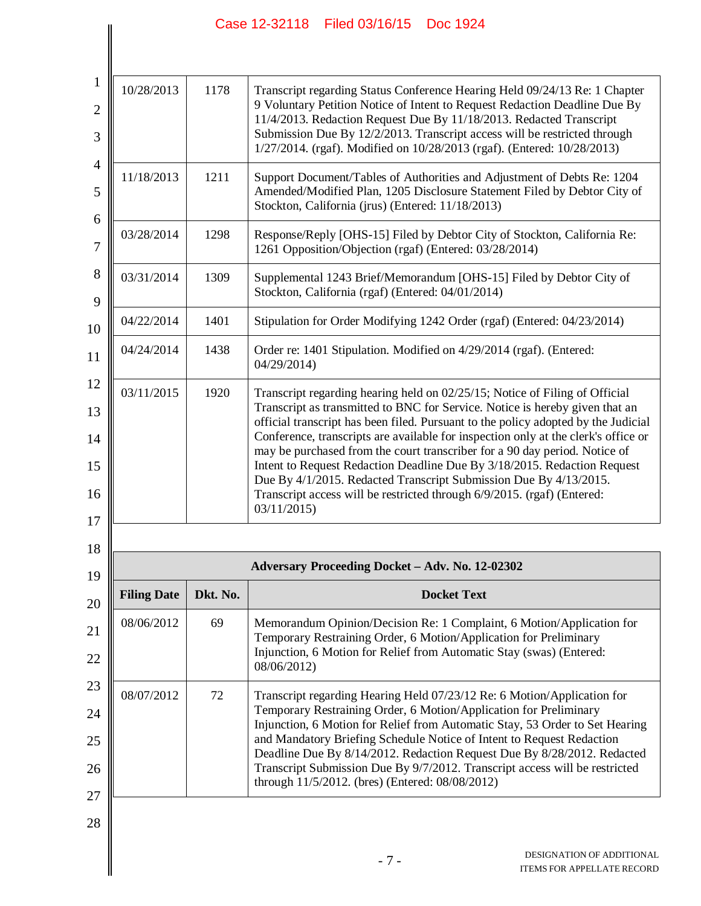$\parallel$ 

 $\parallel$ 

| 10/28/2013         | 1178     | Transcript regarding Status Conference Hearing Held 09/24/13 Re: 1 Chapter<br>9 Voluntary Petition Notice of Intent to Request Redaction Deadline Due By<br>11/4/2013. Redaction Request Due By 11/18/2013. Redacted Transcript<br>Submission Due By 12/2/2013. Transcript access will be restricted through<br>1/27/2014. (rgaf). Modified on 10/28/2013 (rgaf). (Entered: 10/28/2013)                                                                                                                                                                                                                                                                         |  |
|--------------------|----------|-----------------------------------------------------------------------------------------------------------------------------------------------------------------------------------------------------------------------------------------------------------------------------------------------------------------------------------------------------------------------------------------------------------------------------------------------------------------------------------------------------------------------------------------------------------------------------------------------------------------------------------------------------------------|--|
| 11/18/2013         | 1211     | Support Document/Tables of Authorities and Adjustment of Debts Re: 1204<br>Amended/Modified Plan, 1205 Disclosure Statement Filed by Debtor City of<br>Stockton, California (jrus) (Entered: 11/18/2013)                                                                                                                                                                                                                                                                                                                                                                                                                                                        |  |
| 03/28/2014         | 1298     | Response/Reply [OHS-15] Filed by Debtor City of Stockton, California Re:<br>1261 Opposition/Objection (rgaf) (Entered: 03/28/2014)                                                                                                                                                                                                                                                                                                                                                                                                                                                                                                                              |  |
| 03/31/2014         | 1309     | Supplemental 1243 Brief/Memorandum [OHS-15] Filed by Debtor City of<br>Stockton, California (rgaf) (Entered: 04/01/2014)                                                                                                                                                                                                                                                                                                                                                                                                                                                                                                                                        |  |
| 04/22/2014         | 1401     | Stipulation for Order Modifying 1242 Order (rgaf) (Entered: 04/23/2014)                                                                                                                                                                                                                                                                                                                                                                                                                                                                                                                                                                                         |  |
| 04/24/2014         | 1438     | Order re: 1401 Stipulation. Modified on 4/29/2014 (rgaf). (Entered:<br>04/29/2014                                                                                                                                                                                                                                                                                                                                                                                                                                                                                                                                                                               |  |
| 03/11/2015         | 1920     | Transcript regarding hearing held on 02/25/15; Notice of Filing of Official<br>Transcript as transmitted to BNC for Service. Notice is hereby given that an<br>official transcript has been filed. Pursuant to the policy adopted by the Judicial<br>Conference, transcripts are available for inspection only at the clerk's office or<br>may be purchased from the court transcriber for a 90 day period. Notice of<br>Intent to Request Redaction Deadline Due By 3/18/2015. Redaction Request<br>Due By 4/1/2015. Redacted Transcript Submission Due By 4/13/2015.<br>Transcript access will be restricted through 6/9/2015. (rgaf) (Entered:<br>03/11/2015 |  |
|                    |          |                                                                                                                                                                                                                                                                                                                                                                                                                                                                                                                                                                                                                                                                 |  |
|                    |          | Adversary Proceeding Docket - Adv. No. 12-02302                                                                                                                                                                                                                                                                                                                                                                                                                                                                                                                                                                                                                 |  |
| <b>Filing Date</b> | Dkt. No. | <b>Docket Text</b>                                                                                                                                                                                                                                                                                                                                                                                                                                                                                                                                                                                                                                              |  |
| 08/06/2012         | 69       | Memorandum Opinion/Decision Re: 1 Complaint, 6 Motion/Application for<br>Temporary Restraining Order, 6 Motion/Application for Preliminary<br>Injunction, 6 Motion for Relief from Automatic Stay (swas) (Entered:<br>08/06/2012)                                                                                                                                                                                                                                                                                                                                                                                                                               |  |
| 08/07/2012         | 72       | Transcript regarding Hearing Held 07/23/12 Re: 6 Motion/Application for<br>Temporary Restraining Order, 6 Motion/Application for Preliminary<br>Injunction, 6 Motion for Relief from Automatic Stay, 53 Order to Set Hearing<br>and Mandatory Briefing Schedule Notice of Intent to Request Redaction<br>Deadline Due By 8/14/2012. Redaction Request Due By 8/28/2012. Redacted<br>Transcript Submission Due By 9/7/2012. Transcript access will be restricted<br>through 11/5/2012. (bres) (Entered: 08/08/2012)                                                                                                                                              |  |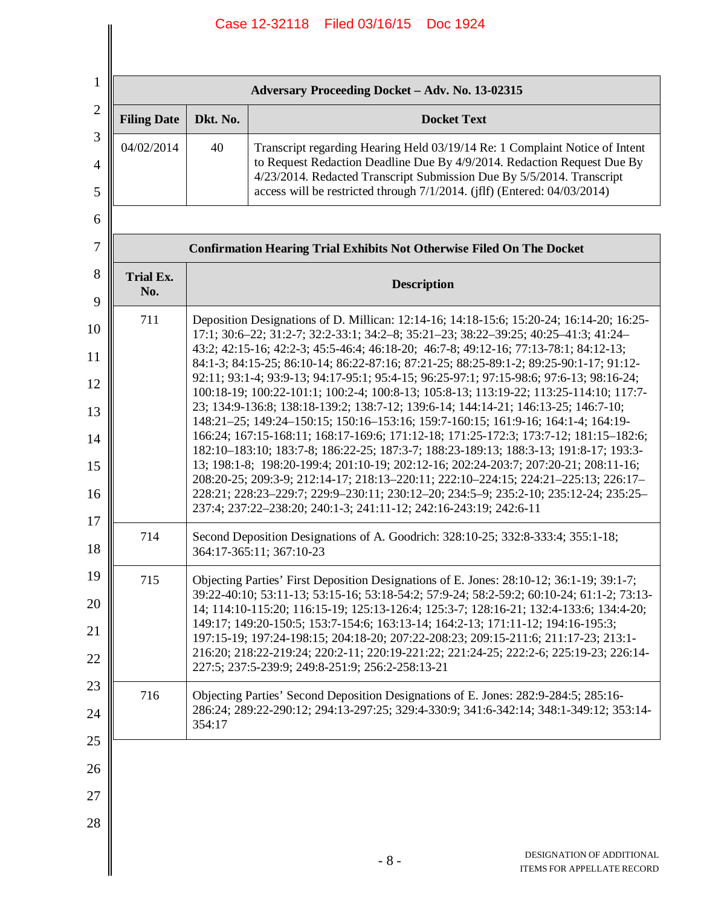| Adversary Proceeding Docket - Adv. No. 13-02315 |                                                                                                                                                                                                                                                                                                                                                                                                                                                                                                                                                                                                                                                                                                                                                                                                                                                                                                                                                                                                                                                                                                                                                                                                                                                                 |                                                                                                                                                                                                                                                                                                             |  |  |  |
|-------------------------------------------------|-----------------------------------------------------------------------------------------------------------------------------------------------------------------------------------------------------------------------------------------------------------------------------------------------------------------------------------------------------------------------------------------------------------------------------------------------------------------------------------------------------------------------------------------------------------------------------------------------------------------------------------------------------------------------------------------------------------------------------------------------------------------------------------------------------------------------------------------------------------------------------------------------------------------------------------------------------------------------------------------------------------------------------------------------------------------------------------------------------------------------------------------------------------------------------------------------------------------------------------------------------------------|-------------------------------------------------------------------------------------------------------------------------------------------------------------------------------------------------------------------------------------------------------------------------------------------------------------|--|--|--|
| <b>Filing Date</b>                              | Dkt. No.                                                                                                                                                                                                                                                                                                                                                                                                                                                                                                                                                                                                                                                                                                                                                                                                                                                                                                                                                                                                                                                                                                                                                                                                                                                        | <b>Docket Text</b>                                                                                                                                                                                                                                                                                          |  |  |  |
| 04/02/2014                                      | 40                                                                                                                                                                                                                                                                                                                                                                                                                                                                                                                                                                                                                                                                                                                                                                                                                                                                                                                                                                                                                                                                                                                                                                                                                                                              | Transcript regarding Hearing Held 03/19/14 Re: 1 Complaint Notice of Intent<br>to Request Redaction Deadline Due By 4/9/2014. Redaction Request Due By<br>4/23/2014. Redacted Transcript Submission Due By 5/5/2014. Transcript<br>access will be restricted through 7/1/2014. (jflf) (Entered: 04/03/2014) |  |  |  |
|                                                 |                                                                                                                                                                                                                                                                                                                                                                                                                                                                                                                                                                                                                                                                                                                                                                                                                                                                                                                                                                                                                                                                                                                                                                                                                                                                 |                                                                                                                                                                                                                                                                                                             |  |  |  |
|                                                 |                                                                                                                                                                                                                                                                                                                                                                                                                                                                                                                                                                                                                                                                                                                                                                                                                                                                                                                                                                                                                                                                                                                                                                                                                                                                 | <b>Confirmation Hearing Trial Exhibits Not Otherwise Filed On The Docket</b>                                                                                                                                                                                                                                |  |  |  |
| <b>Trial Ex.</b><br>No.                         |                                                                                                                                                                                                                                                                                                                                                                                                                                                                                                                                                                                                                                                                                                                                                                                                                                                                                                                                                                                                                                                                                                                                                                                                                                                                 | <b>Description</b>                                                                                                                                                                                                                                                                                          |  |  |  |
| 711                                             | Deposition Designations of D. Millican: 12:14-16; 14:18-15:6; 15:20-24; 16:14-20; 16:25-<br>17:1; 30:6-22; 31:2-7; 32:2-33:1; 34:2-8; 35:21-23; 38:22-39:25; 40:25-41:3; 41:24-<br>43:2; 42:15-16; 42:2-3; 45:5-46:4; 46:18-20; 46:7-8; 49:12-16; 77:13-78:1; 84:12-13;<br>84:1-3; 84:15-25; 86:10-14; 86:22-87:16; 87:21-25; 88:25-89:1-2; 89:25-90:1-17; 91:12-<br>92:11; 93:1-4; 93:9-13; 94:17-95:1; 95:4-15; 96:25-97:1; 97:15-98:6; 97:6-13; 98:16-24;<br>100:18-19; 100:22-101:1; 100:2-4; 100:8-13; 105:8-13; 113:19-22; 113:25-114:10; 117:7-<br>23; 134:9-136:8; 138:18-139:2; 138:7-12; 139:6-14; 144:14-21; 146:13-25; 146:7-10;<br>148:21-25; 149:24-150:15; 150:16-153:16; 159:7-160:15; 161:9-16; 164:1-4; 164:19-<br>166:24; 167:15-168:11; 168:17-169:6; 171:12-18; 171:25-172:3; 173:7-12; 181:15-182:6;<br>182:10-183:10; 183:7-8; 186:22-25; 187:3-7; 188:23-189:13; 188:3-13; 191:8-17; 193:3-<br>13; 198:1-8; 198:20-199:4; 201:10-19; 202:12-16; 202:24-203:7; 207:20-21; 208:11-16;<br>208:20-25; 209:3-9; 212:14-17; 218:13-220:11; 222:10-224:15; 224:21-225:13; 226:17-<br>228:21; 228:23-229:7; 229:9-230:11; 230:12-20; 234:5-9; 235:2-10; 235:12-24; 235:25-<br>237:4; 237:22-238:20; 240:1-3; 241:11-12; 242:16-243:19; 242:6-11 |                                                                                                                                                                                                                                                                                                             |  |  |  |
| 714                                             | Second Deposition Designations of A. Goodrich: 328:10-25; 332:8-333:4; 355:1-18;<br>364:17-365:11; 367:10-23                                                                                                                                                                                                                                                                                                                                                                                                                                                                                                                                                                                                                                                                                                                                                                                                                                                                                                                                                                                                                                                                                                                                                    |                                                                                                                                                                                                                                                                                                             |  |  |  |
| 715                                             | Objecting Parties' First Deposition Designations of E. Jones: 28:10-12; 36:1-19; 39:1-7;<br>39:22-40:10; 53:11-13; 53:15-16; 53:18-54:2; 57:9-24; 58:2-59:2; 60:10-24; 61:1-2; 73:13-<br>14; 114:10-115:20; 116:15-19; 125:13-126:4; 125:3-7; 128:16-21; 132:4-133:6; 134:4-20;<br>149:17; 149:20-150:5; 153:7-154:6; 163:13-14; 164:2-13; 171:11-12; 194:16-195:3;<br>197:15-19; 197:24-198:15; 204:18-20; 207:22-208:23; 209:15-211:6; 211:17-23; 213:1-<br>216:20; 218:22-219:24; 220:2-11; 220:19-221:22; 221:24-25; 222:2-6; 225:19-23; 226:14-<br>227:5; 237:5-239:9; 249:8-251:9; 256:2-258:13-21                                                                                                                                                                                                                                                                                                                                                                                                                                                                                                                                                                                                                                                        |                                                                                                                                                                                                                                                                                                             |  |  |  |
| 716                                             | Objecting Parties' Second Deposition Designations of E. Jones: 282:9-284:5; 285:16-<br>286:24; 289:22-290:12; 294:13-297:25; 329:4-330:9; 341:6-342:14; 348:1-349:12; 353:14-<br>354:17                                                                                                                                                                                                                                                                                                                                                                                                                                                                                                                                                                                                                                                                                                                                                                                                                                                                                                                                                                                                                                                                         |                                                                                                                                                                                                                                                                                                             |  |  |  |
|                                                 |                                                                                                                                                                                                                                                                                                                                                                                                                                                                                                                                                                                                                                                                                                                                                                                                                                                                                                                                                                                                                                                                                                                                                                                                                                                                 |                                                                                                                                                                                                                                                                                                             |  |  |  |
|                                                 |                                                                                                                                                                                                                                                                                                                                                                                                                                                                                                                                                                                                                                                                                                                                                                                                                                                                                                                                                                                                                                                                                                                                                                                                                                                                 |                                                                                                                                                                                                                                                                                                             |  |  |  |
|                                                 |                                                                                                                                                                                                                                                                                                                                                                                                                                                                                                                                                                                                                                                                                                                                                                                                                                                                                                                                                                                                                                                                                                                                                                                                                                                                 |                                                                                                                                                                                                                                                                                                             |  |  |  |
|                                                 |                                                                                                                                                                                                                                                                                                                                                                                                                                                                                                                                                                                                                                                                                                                                                                                                                                                                                                                                                                                                                                                                                                                                                                                                                                                                 | DESIGNATION OF ADDITIONAL<br>$-8-$<br>ITEMS FOR APPELLATE RECORD                                                                                                                                                                                                                                            |  |  |  |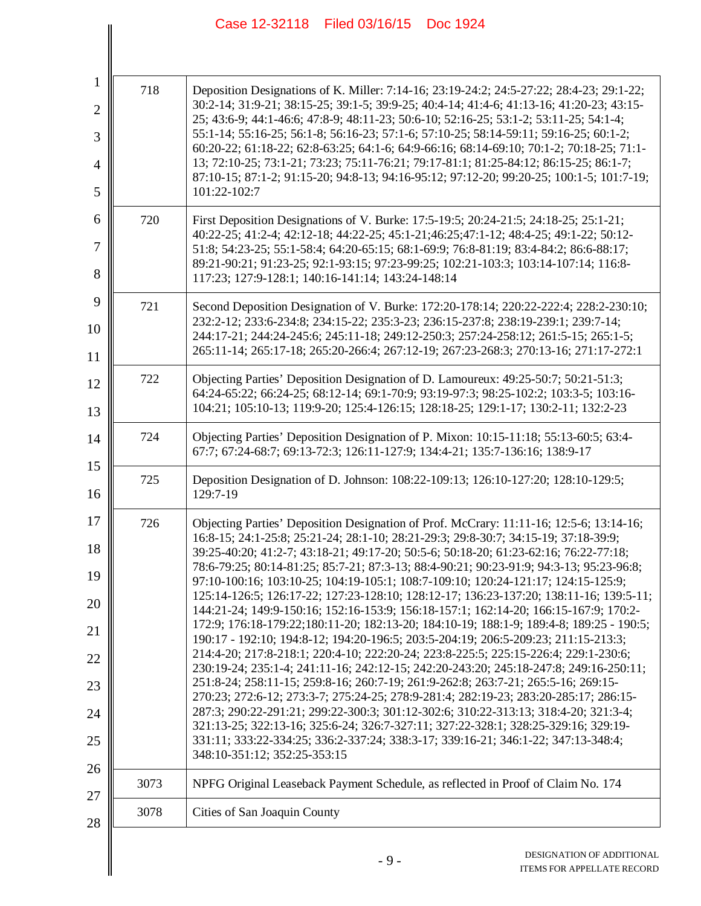|      | Case 12-32118 Filed 03/16/15<br>Doc 1924                                                                                                                                                                                                                                                                                                                                                                                                                                                                                                                                                                                                                                                                                                                                                                                                                                                                                                                                                                                                                                                                                                                                                                                                                                                                                                                                                                                                                                                 |
|------|------------------------------------------------------------------------------------------------------------------------------------------------------------------------------------------------------------------------------------------------------------------------------------------------------------------------------------------------------------------------------------------------------------------------------------------------------------------------------------------------------------------------------------------------------------------------------------------------------------------------------------------------------------------------------------------------------------------------------------------------------------------------------------------------------------------------------------------------------------------------------------------------------------------------------------------------------------------------------------------------------------------------------------------------------------------------------------------------------------------------------------------------------------------------------------------------------------------------------------------------------------------------------------------------------------------------------------------------------------------------------------------------------------------------------------------------------------------------------------------|
|      |                                                                                                                                                                                                                                                                                                                                                                                                                                                                                                                                                                                                                                                                                                                                                                                                                                                                                                                                                                                                                                                                                                                                                                                                                                                                                                                                                                                                                                                                                          |
| 718  | Deposition Designations of K. Miller: 7:14-16; 23:19-24:2; 24:5-27:22; 28:4-23; 29:1-22;<br>30:2-14; 31:9-21; 38:15-25; 39:1-5; 39:9-25; 40:4-14; 41:4-6; 41:13-16; 41:20-23; 43:15-<br>25; 43:6-9; 44:1-46:6; 47:8-9; 48:11-23; 50:6-10; 52:16-25; 53:1-2; 53:11-25; 54:1-4;<br>55:1-14; 55:16-25; 56:1-8; 56:16-23; 57:1-6; 57:10-25; 58:14-59:11; 59:16-25; 60:1-2;<br>60:20-22; 61:18-22; 62:8-63:25; 64:1-6; 64:9-66:16; 68:14-69:10; 70:1-2; 70:18-25; 71:1-<br>13; 72:10-25; 73:1-21; 73:23; 75:11-76:21; 79:17-81:1; 81:25-84:12; 86:15-25; 86:1-7;<br>87:10-15; 87:1-2; 91:15-20; 94:8-13; 94:16-95:12; 97:12-20; 99:20-25; 100:1-5; 101:7-19;<br>101:22-102:7                                                                                                                                                                                                                                                                                                                                                                                                                                                                                                                                                                                                                                                                                                                                                                                                                  |
| 720  | First Deposition Designations of V. Burke: 17:5-19:5; 20:24-21:5; 24:18-25; 25:1-21;<br>40:22-25; 41:2-4; 42:12-18; 44:22-25; 45:1-21; 46:25; 47:1-12; 48:4-25; 49:1-22; 50:12-<br>51:8; 54:23-25; 55:1-58:4; 64:20-65:15; 68:1-69:9; 76:8-81:19; 83:4-84:2; 86:6-88:17;<br>89:21-90:21; 91:23-25; 92:1-93:15; 97:23-99:25; 102:21-103:3; 103:14-107:14; 116:8-<br>117:23; 127:9-128:1; 140:16-141:14; 143:24-148:14                                                                                                                                                                                                                                                                                                                                                                                                                                                                                                                                                                                                                                                                                                                                                                                                                                                                                                                                                                                                                                                                     |
| 721  | Second Deposition Designation of V. Burke: 172:20-178:14; 220:22-222:4; 228:2-230:10;<br>232:2-12; 233:6-234:8; 234:15-22; 235:3-23; 236:15-237:8; 238:19-239:1; 239:7-14;<br>244:17-21; 244:24-245:6; 245:11-18; 249:12-250:3; 257:24-258:12; 261:5-15; 265:1-5;<br>265:11-14; 265:17-18; 265:20-266:4; 267:12-19; 267:23-268:3; 270:13-16; 271:17-272:1                                                                                                                                                                                                                                                                                                                                                                                                                                                                                                                                                                                                                                                                                                                                                                                                                                                                                                                                                                                                                                                                                                                                |
| 722  | Objecting Parties' Deposition Designation of D. Lamoureux: 49:25-50:7; 50:21-51:3;<br>64:24-65:22; 66:24-25; 68:12-14; 69:1-70:9; 93:19-97:3; 98:25-102:2; 103:3-5; 103:16-<br>104:21; 105:10-13; 119:9-20; 125:4-126:15; 128:18-25; 129:1-17; 130:2-11; 132:2-23                                                                                                                                                                                                                                                                                                                                                                                                                                                                                                                                                                                                                                                                                                                                                                                                                                                                                                                                                                                                                                                                                                                                                                                                                        |
| 724  | Objecting Parties' Deposition Designation of P. Mixon: 10:15-11:18; 55:13-60:5; 63:4-<br>67:7; 67:24-68:7; 69:13-72:3; 126:11-127:9; 134:4-21; 135:7-136:16; 138:9-17                                                                                                                                                                                                                                                                                                                                                                                                                                                                                                                                                                                                                                                                                                                                                                                                                                                                                                                                                                                                                                                                                                                                                                                                                                                                                                                    |
| 725  | Deposition Designation of D. Johnson: 108:22-109:13; 126:10-127:20; 128:10-129:5;<br>129:7-19                                                                                                                                                                                                                                                                                                                                                                                                                                                                                                                                                                                                                                                                                                                                                                                                                                                                                                                                                                                                                                                                                                                                                                                                                                                                                                                                                                                            |
| 726  | Objecting Parties' Deposition Designation of Prof. McCrary: 11:11-16; 12:5-6; 13:14-16;<br>16:8-15; 24:1-25:8; 25:21-24; 28:1-10; 28:21-29:3; 29:8-30:7; 34:15-19; 37:18-39:9;<br>39:25-40:20; 41:2-7; 43:18-21; 49:17-20; 50:5-6; 50:18-20; 61:23-62:16; 76:22-77:18;<br>78:6-79:25; 80:14-81:25; 85:7-21; 87:3-13; 88:4-90:21; 90:23-91:9; 94:3-13; 95:23-96:8;<br>97:10-100:16; 103:10-25; 104:19-105:1; 108:7-109:10; 120:24-121:17; 124:15-125:9;<br>125:14-126:5; 126:17-22; 127:23-128:10; 128:12-17; 136:23-137:20; 138:11-16; 139:5-11;<br>144:21-24; 149:9-150:16; 152:16-153:9; 156:18-157:1; 162:14-20; 166:15-167:9; 170:2-<br>172:9; 176:18-179:22;180:11-20; 182:13-20; 184:10-19; 188:1-9; 189:4-8; 189:25 - 190:5;<br>190:17 - 192:10; 194:8-12; 194:20-196:5; 203:5-204:19; 206:5-209:23; 211:15-213:3;<br>214:4-20; 217:8-218:1; 220:4-10; 222:20-24; 223:8-225:5; 225:15-226:4; 229:1-230:6;<br>230:19-24; 235:1-4; 241:11-16; 242:12-15; 242:20-243:20; 245:18-247:8; 249:16-250:11;<br>251:8-24; 258:11-15; 259:8-16; 260:7-19; 261:9-262:8; 263:7-21; 265:5-16; 269:15-<br>270:23; 272:6-12; 273:3-7; 275:24-25; 278:9-281:4; 282:19-23; 283:20-285:17; 286:15-<br>287:3; 290:22-291:21; 299:22-300:3; 301:12-302:6; 310:22-313:13; 318:4-20; 321:3-4;<br>321:13-25; 322:13-16; 325:6-24; 326:7-327:11; 327:22-328:1; 328:25-329:16; 329:19-<br>331:11; 333:22-334:25; 336:2-337:24; 338:3-17; 339:16-21; 346:1-22; 347:13-348:4;<br>348:10-351:12; 352:25-353:15 |
| 3073 | NPFG Original Leaseback Payment Schedule, as reflected in Proof of Claim No. 174                                                                                                                                                                                                                                                                                                                                                                                                                                                                                                                                                                                                                                                                                                                                                                                                                                                                                                                                                                                                                                                                                                                                                                                                                                                                                                                                                                                                         |
| 3078 | Cities of San Joaquin County                                                                                                                                                                                                                                                                                                                                                                                                                                                                                                                                                                                                                                                                                                                                                                                                                                                                                                                                                                                                                                                                                                                                                                                                                                                                                                                                                                                                                                                             |
|      | DESIGNATION OF ADDITIONAL<br>$-9-$<br>ITEMS FOR APPELLATE RECORD                                                                                                                                                                                                                                                                                                                                                                                                                                                                                                                                                                                                                                                                                                                                                                                                                                                                                                                                                                                                                                                                                                                                                                                                                                                                                                                                                                                                                         |